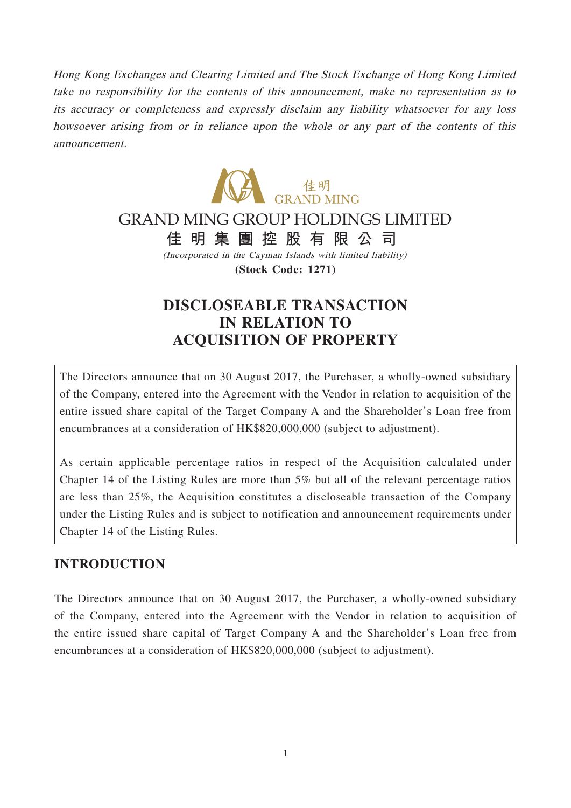Hong Kong Exchanges and Clearing Limited and The Stock Exchange of Hong Kong Limited take no responsibility for the contents of this announcement, make no representation as to its accuracy or completeness and expressly disclaim any liability whatsoever for any loss howsoever arising from or in reliance upon the whole or any part of the contents of this announcement.



# GRAND MING GROUP HOLDINGS LIMITED

**佳明集團控股有限公司**

(Incorporated in the Cayman Islands with limited liability) **(Stock Code: 1271)**

# **DISCLOSEABLE TRANSACTION IN RELATION TO ACQUISITION OF PROPERTY**

The Directors announce that on 30 August 2017, the Purchaser, a wholly-owned subsidiary of the Company, entered into the Agreement with the Vendor in relation to acquisition of the entire issued share capital of the Target Company A and the Shareholder's Loan free from encumbrances at a consideration of HK\$820,000,000 (subject to adjustment).

As certain applicable percentage ratios in respect of the Acquisition calculated under Chapter 14 of the Listing Rules are more than 5% but all of the relevant percentage ratios are less than 25%, the Acquisition constitutes a discloseable transaction of the Company under the Listing Rules and is subject to notification and announcement requirements under Chapter 14 of the Listing Rules.

#### **INTRODUCTION**

The Directors announce that on 30 August 2017, the Purchaser, a wholly-owned subsidiary of the Company, entered into the Agreement with the Vendor in relation to acquisition of the entire issued share capital of Target Company A and the Shareholder's Loan free from encumbrances at a consideration of HK\$820,000,000 (subject to adjustment).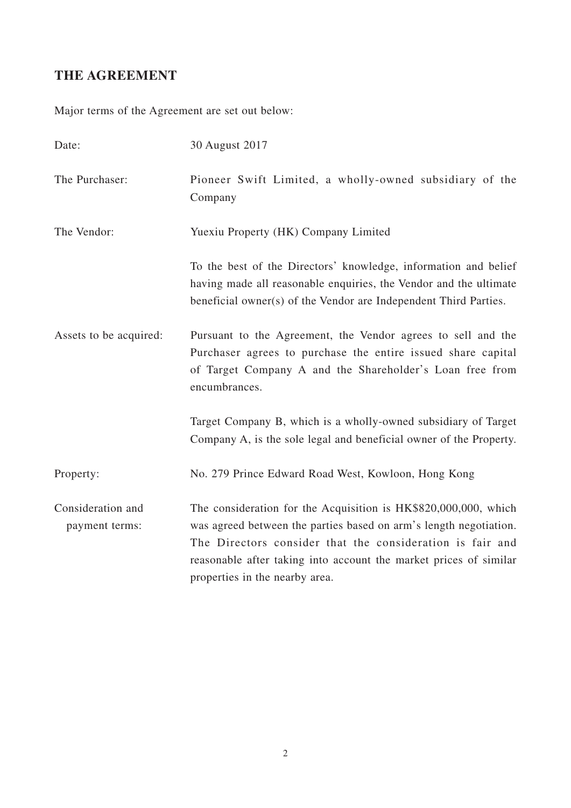# **THE AGREEMENT**

Major terms of the Agreement are set out below:

| Date:                               | 30 August 2017                                                                                                                                                                                                                                                                                           |
|-------------------------------------|----------------------------------------------------------------------------------------------------------------------------------------------------------------------------------------------------------------------------------------------------------------------------------------------------------|
| The Purchaser:                      | Pioneer Swift Limited, a wholly-owned subsidiary of the<br>Company                                                                                                                                                                                                                                       |
| The Vendor:                         | Yuexiu Property (HK) Company Limited                                                                                                                                                                                                                                                                     |
|                                     | To the best of the Directors' knowledge, information and belief<br>having made all reasonable enquiries, the Vendor and the ultimate<br>beneficial owner(s) of the Vendor are Independent Third Parties.                                                                                                 |
| Assets to be acquired:              | Pursuant to the Agreement, the Vendor agrees to sell and the<br>Purchaser agrees to purchase the entire issued share capital<br>of Target Company A and the Shareholder's Loan free from<br>encumbrances.                                                                                                |
|                                     | Target Company B, which is a wholly-owned subsidiary of Target<br>Company A, is the sole legal and beneficial owner of the Property.                                                                                                                                                                     |
| Property:                           | No. 279 Prince Edward Road West, Kowloon, Hong Kong                                                                                                                                                                                                                                                      |
| Consideration and<br>payment terms: | The consideration for the Acquisition is HK\$820,000,000, which<br>was agreed between the parties based on arm's length negotiation.<br>The Directors consider that the consideration is fair and<br>reasonable after taking into account the market prices of similar<br>properties in the nearby area. |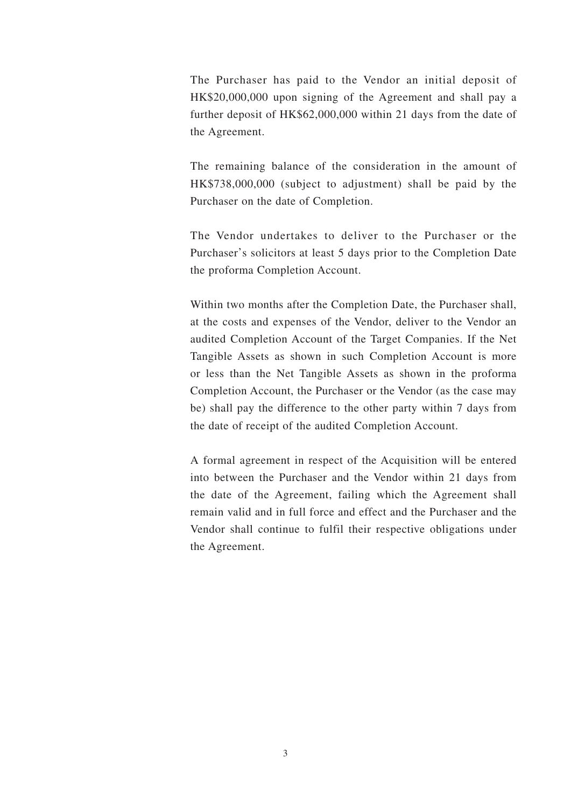The Purchaser has paid to the Vendor an initial deposit of HK\$20,000,000 upon signing of the Agreement and shall pay a further deposit of HK\$62,000,000 within 21 days from the date of the Agreement.

The remaining balance of the consideration in the amount of HK\$738,000,000 (subject to adjustment) shall be paid by the Purchaser on the date of Completion.

The Vendor undertakes to deliver to the Purchaser or the Purchaser's solicitors at least 5 days prior to the Completion Date the proforma Completion Account.

Within two months after the Completion Date, the Purchaser shall, at the costs and expenses of the Vendor, deliver to the Vendor an audited Completion Account of the Target Companies. If the Net Tangible Assets as shown in such Completion Account is more or less than the Net Tangible Assets as shown in the proforma Completion Account, the Purchaser or the Vendor (as the case may be) shall pay the difference to the other party within 7 days from the date of receipt of the audited Completion Account.

A formal agreement in respect of the Acquisition will be entered into between the Purchaser and the Vendor within 21 days from the date of the Agreement, failing which the Agreement shall remain valid and in full force and effect and the Purchaser and the Vendor shall continue to fulfil their respective obligations under the Agreement.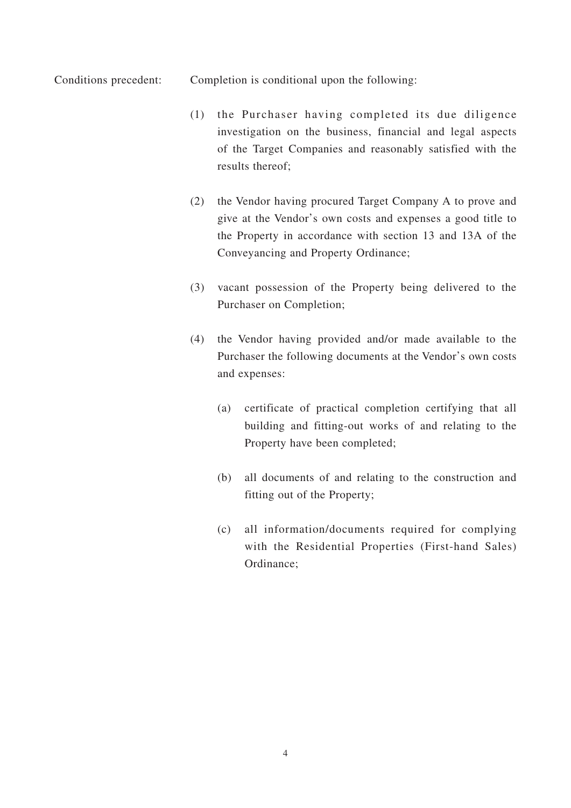Conditions precedent: Completion is conditional upon the following:

- (1) the Purchaser having completed its due diligence investigation on the business, financial and legal aspects of the Target Companies and reasonably satisfied with the results thereof;
- (2) the Vendor having procured Target Company A to prove and give at the Vendor's own costs and expenses a good title to the Property in accordance with section 13 and 13A of the Conveyancing and Property Ordinance;
- (3) vacant possession of the Property being delivered to the Purchaser on Completion;
- (4) the Vendor having provided and/or made available to the Purchaser the following documents at the Vendor's own costs and expenses:
	- (a) certificate of practical completion certifying that all building and fitting-out works of and relating to the Property have been completed;
	- (b) all documents of and relating to the construction and fitting out of the Property;
	- (c) all information/documents required for complying with the Residential Properties (First-hand Sales) Ordinance;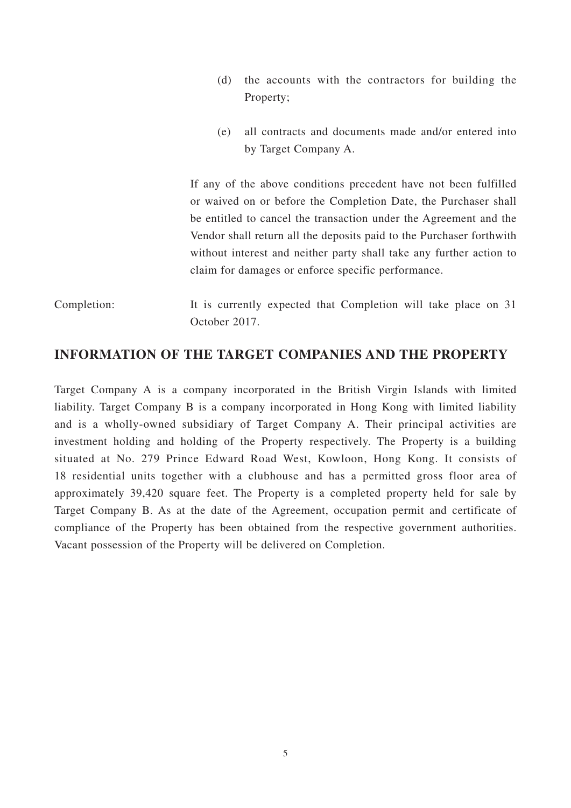- (d) the accounts with the contractors for building the Property;
- (e) all contracts and documents made and/or entered into by Target Company A.

If any of the above conditions precedent have not been fulfilled or waived on or before the Completion Date, the Purchaser shall be entitled to cancel the transaction under the Agreement and the Vendor shall return all the deposits paid to the Purchaser forthwith without interest and neither party shall take any further action to claim for damages or enforce specific performance.

Completion: It is currently expected that Completion will take place on 31 October 2017.

#### **INFORMATION OF THE TARGET COMPANIES AND THE PROPERTY**

Target Company A is a company incorporated in the British Virgin Islands with limited liability. Target Company B is a company incorporated in Hong Kong with limited liability and is a wholly-owned subsidiary of Target Company A. Their principal activities are investment holding and holding of the Property respectively. The Property is a building situated at No. 279 Prince Edward Road West, Kowloon, Hong Kong. It consists of 18 residential units together with a clubhouse and has a permitted gross floor area of approximately 39,420 square feet. The Property is a completed property held for sale by Target Company B. As at the date of the Agreement, occupation permit and certificate of compliance of the Property has been obtained from the respective government authorities. Vacant possession of the Property will be delivered on Completion.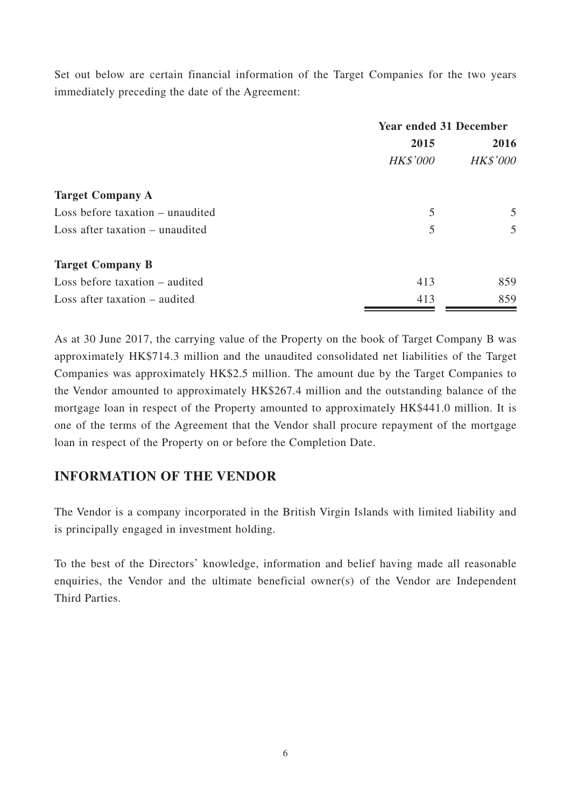Set out below are certain financial information of the Target Companies for the two years immediately preceding the date of the Agreement:

|                                  | <b>Year ended 31 December</b> |                         |
|----------------------------------|-------------------------------|-------------------------|
|                                  | 2015<br><b>HK\$'000</b>       | 2016<br><b>HK\$'000</b> |
|                                  |                               |                         |
| <b>Target Company A</b>          |                               |                         |
| Loss before taxation – unaudited | 5                             | 5                       |
| Loss after taxation – unaudited  | 5                             | $\overline{5}$          |
| <b>Target Company B</b>          |                               |                         |
| Loss before taxation $-$ audited | 413                           | 859                     |
| Loss after taxation – audited    | 413                           | 859                     |

As at 30 June 2017, the carrying value of the Property on the book of Target Company B was approximately HK\$714.3 million and the unaudited consolidated net liabilities of the Target Companies was approximately HK\$2.5 million. The amount due by the Target Companies to the Vendor amounted to approximately HK\$267.4 million and the outstanding balance of the mortgage loan in respect of the Property amounted to approximately HK\$441.0 million. It is one of the terms of the Agreement that the Vendor shall procure repayment of the mortgage loan in respect of the Property on or before the Completion Date.

### **INFORMATION OF THE VENDOR**

The Vendor is a company incorporated in the British Virgin Islands with limited liability and is principally engaged in investment holding.

To the best of the Directors' knowledge, information and belief having made all reasonable enquiries, the Vendor and the ultimate beneficial owner(s) of the Vendor are Independent Third Parties.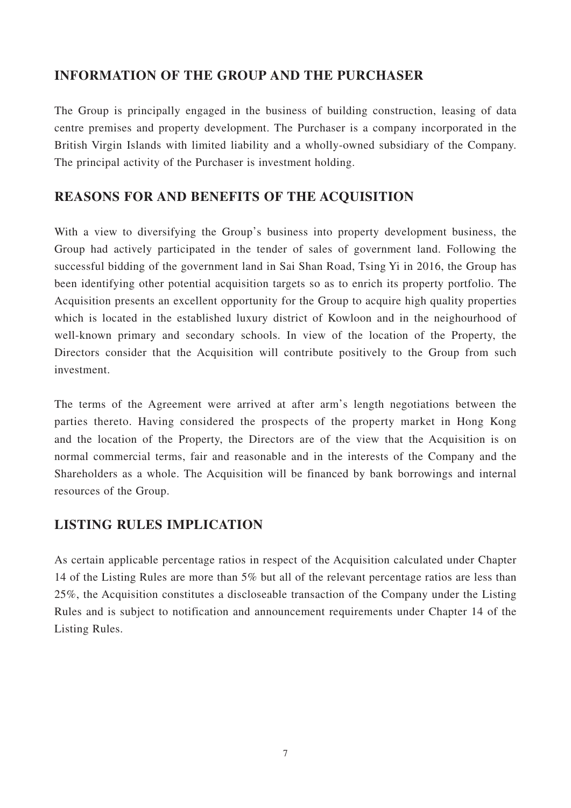#### **INFORMATION OF THE GROUP AND THE PURCHASER**

The Group is principally engaged in the business of building construction, leasing of data centre premises and property development. The Purchaser is a company incorporated in the British Virgin Islands with limited liability and a wholly-owned subsidiary of the Company. The principal activity of the Purchaser is investment holding.

#### **REASONS FOR AND BENEFITS OF THE ACQUISITION**

With a view to diversifying the Group's business into property development business, the Group had actively participated in the tender of sales of government land. Following the successful bidding of the government land in Sai Shan Road, Tsing Yi in 2016, the Group has been identifying other potential acquisition targets so as to enrich its property portfolio. The Acquisition presents an excellent opportunity for the Group to acquire high quality properties which is located in the established luxury district of Kowloon and in the neighourhood of well-known primary and secondary schools. In view of the location of the Property, the Directors consider that the Acquisition will contribute positively to the Group from such investment.

The terms of the Agreement were arrived at after arm's length negotiations between the parties thereto. Having considered the prospects of the property market in Hong Kong and the location of the Property, the Directors are of the view that the Acquisition is on normal commercial terms, fair and reasonable and in the interests of the Company and the Shareholders as a whole. The Acquisition will be financed by bank borrowings and internal resources of the Group.

### **LISTING RULES IMPLICATION**

As certain applicable percentage ratios in respect of the Acquisition calculated under Chapter 14 of the Listing Rules are more than 5% but all of the relevant percentage ratios are less than 25%, the Acquisition constitutes a discloseable transaction of the Company under the Listing Rules and is subject to notification and announcement requirements under Chapter 14 of the Listing Rules.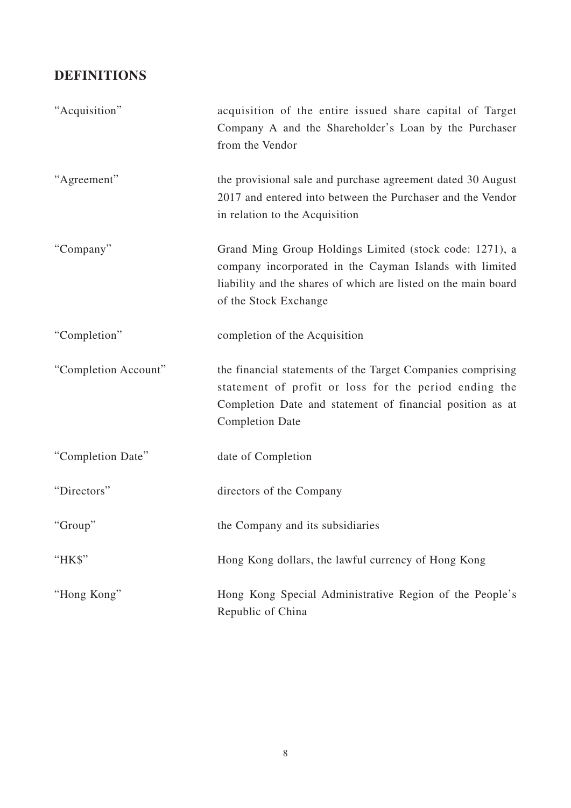## **DEFINITIONS**

| "Acquisition"        | acquisition of the entire issued share capital of Target<br>Company A and the Shareholder's Loan by the Purchaser<br>from the Vendor                                                                          |
|----------------------|---------------------------------------------------------------------------------------------------------------------------------------------------------------------------------------------------------------|
| "Agreement"          | the provisional sale and purchase agreement dated 30 August<br>2017 and entered into between the Purchaser and the Vendor<br>in relation to the Acquisition                                                   |
| "Company"            | Grand Ming Group Holdings Limited (stock code: 1271), a<br>company incorporated in the Cayman Islands with limited<br>liability and the shares of which are listed on the main board<br>of the Stock Exchange |
| "Completion"         | completion of the Acquisition                                                                                                                                                                                 |
| "Completion Account" | the financial statements of the Target Companies comprising<br>statement of profit or loss for the period ending the<br>Completion Date and statement of financial position as at<br><b>Completion Date</b>   |
| "Completion Date"    | date of Completion                                                                                                                                                                                            |
| "Directors"          | directors of the Company                                                                                                                                                                                      |
| "Group"              | the Company and its subsidiaries                                                                                                                                                                              |
| "HK\$"               | Hong Kong dollars, the lawful currency of Hong Kong                                                                                                                                                           |
| "Hong Kong"          | Hong Kong Special Administrative Region of the People's<br>Republic of China                                                                                                                                  |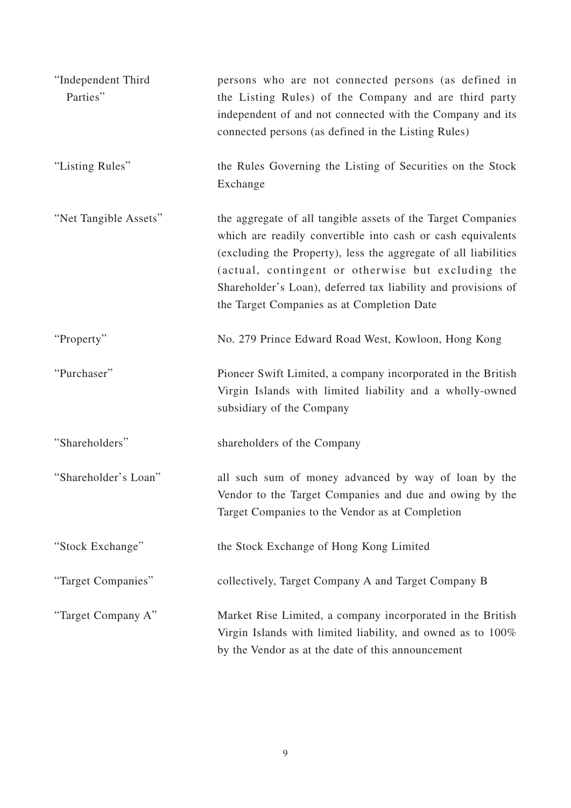| "Independent Third<br>Parties" | persons who are not connected persons (as defined in<br>the Listing Rules) of the Company and are third party<br>independent of and not connected with the Company and its<br>connected persons (as defined in the Listing Rules)                                                                                                                                   |  |
|--------------------------------|---------------------------------------------------------------------------------------------------------------------------------------------------------------------------------------------------------------------------------------------------------------------------------------------------------------------------------------------------------------------|--|
| "Listing Rules"                | the Rules Governing the Listing of Securities on the Stock<br>Exchange                                                                                                                                                                                                                                                                                              |  |
| "Net Tangible Assets"          | the aggregate of all tangible assets of the Target Companies<br>which are readily convertible into cash or cash equivalents<br>(excluding the Property), less the aggregate of all liabilities<br>(actual, contingent or otherwise but excluding the<br>Shareholder's Loan), deferred tax liability and provisions of<br>the Target Companies as at Completion Date |  |
| "Property"                     | No. 279 Prince Edward Road West, Kowloon, Hong Kong                                                                                                                                                                                                                                                                                                                 |  |
| "Purchaser"                    | Pioneer Swift Limited, a company incorporated in the British<br>Virgin Islands with limited liability and a wholly-owned<br>subsidiary of the Company                                                                                                                                                                                                               |  |
| "Shareholders"                 | shareholders of the Company                                                                                                                                                                                                                                                                                                                                         |  |
| "Shareholder's Loan"           | all such sum of money advanced by way of loan by the<br>Vendor to the Target Companies and due and owing by the<br>Target Companies to the Vendor as at Completion                                                                                                                                                                                                  |  |
| "Stock Exchange"               | the Stock Exchange of Hong Kong Limited                                                                                                                                                                                                                                                                                                                             |  |
| "Target Companies"             | collectively, Target Company A and Target Company B                                                                                                                                                                                                                                                                                                                 |  |
| "Target Company A"             | Market Rise Limited, a company incorporated in the British<br>Virgin Islands with limited liability, and owned as to 100%<br>by the Vendor as at the date of this announcement                                                                                                                                                                                      |  |